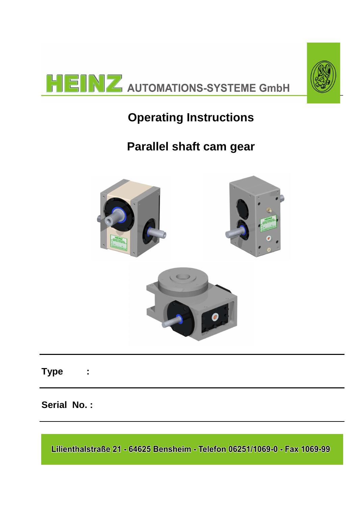



# **Operating Instructions**

# **Parallel shaft cam gear**



## **Type :**

## **Serial No. :**

Lilienthalstraße 21 - 64625 Bensheim - Telefon 06251/1069-0 - Fax 1069-99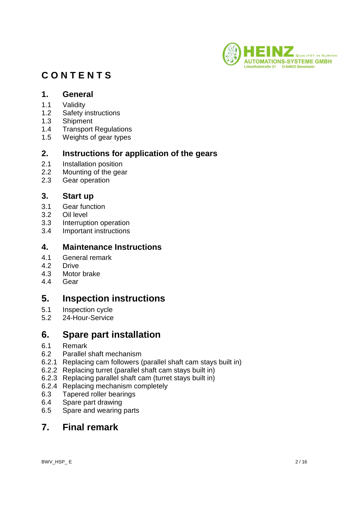

## **C O N T E N T S**

#### **1. General**

- 1.1 Validity
- 1.2 Safety instructions
- 1.3 Shipment
- 1.4 Transport Regulations
- 1.5 Weights of gear types

#### **2. Instructions for application of the gears**

- 2.1 Installation position
- 2.2 Mounting of the gear
- 2.3 Gear operation

#### **3. Start up**

- 3.1 Gear function
- 3.2 Oil level
- 3.3 Interruption operation
- 3.4 Important instructions

#### **4. Maintenance Instructions**

- 4.1 General remark
- 4.2 Drive
- 4.3 Motor brake
- 4.4 Gear

## **5. Inspection instructions**

- 5.1 Inspection cycle
- 5.2 24-Hour-Service

## **6. Spare part installation**

- 6.1 Remark
- 6.2 Parallel shaft mechanism
- 6.2.1 Replacing cam followers (parallel shaft cam stays built in)
- 6.2.2 Replacing turret (parallel shaft cam stays built in)
- 6.2.3 Replacing parallel shaft cam (turret stays built in)
- 6.2.4 Replacing mechanism completely
- 6.3 Tapered roller bearings
- 6.4 Spare part drawing
- 6.5 Spare and wearing parts

## **7. Final remark**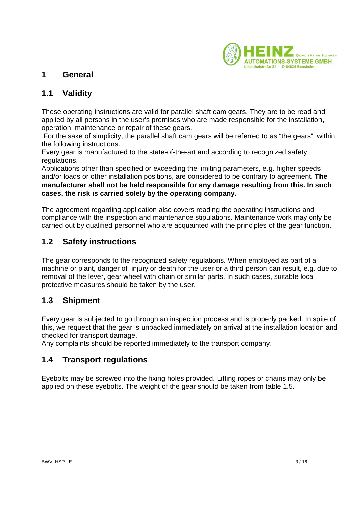

#### **1 General**

#### **1.1 Validity**

These operating instructions are valid for parallel shaft cam gears. They are to be read and applied by all persons in the user's premises who are made responsible for the installation, operation, maintenance or repair of these gears.

 For the sake of simplicity, the parallel shaft cam gears will be referred to as "the gears" within the following instructions.

Every gear is manufactured to the state-of-the-art and according to recognized safety regulations.

Applications other than specified or exceeding the limiting parameters, e.g. higher speeds and/or loads or other installation positions, are considered to be contrary to agreement. **The manufacturer shall not be held responsible for any damage resulting from this. In such cases, the risk is carried solely by the operating company.**

The agreement regarding application also covers reading the operating instructions and compliance with the inspection and maintenance stipulations. Maintenance work may only be carried out by qualified personnel who are acquainted with the principles of the gear function.

#### **1.2 Safety instructions**

The gear corresponds to the recognized safety regulations. When employed as part of a machine or plant, danger of injury or death for the user or a third person can result, e.g. due to removal of the lever, gear wheel with chain or similar parts. In such cases, suitable local protective measures should be taken by the user.

#### **1.3 Shipment**

Every gear is subjected to go through an inspection process and is properly packed. In spite of this, we request that the gear is unpacked immediately on arrival at the installation location and checked for transport damage.

Any complaints should be reported immediately to the transport company.

#### **1.4 Transport regulations**

Eyebolts may be screwed into the fixing holes provided. Lifting ropes or chains may only be applied on these eyebolts. The weight of the gear should be taken from table 1.5.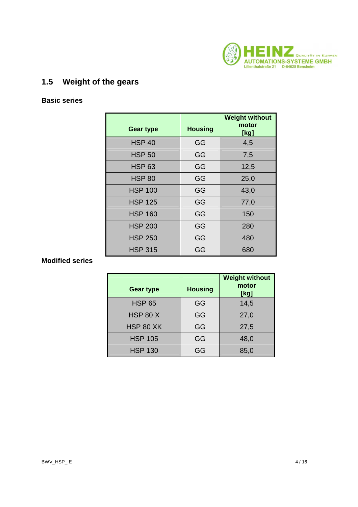

## **1.5 Weight of the gears**

#### **Basic series**

|                  |                | <b>Weight without</b> |
|------------------|----------------|-----------------------|
| <b>Gear type</b> | <b>Housing</b> | motor<br>[kg]         |
| <b>HSP 40</b>    | GG             | 4,5                   |
| <b>HSP 50</b>    | GG             | 7,5                   |
| <b>HSP 63</b>    | GG             | 12,5                  |
| <b>HSP 80</b>    | GG             | 25,0                  |
| <b>HSP 100</b>   | GG             | 43,0                  |
| <b>HSP 125</b>   | GG             | 77,0                  |
| <b>HSP 160</b>   | GG             | 150                   |
| <b>HSP 200</b>   | GG             | 280                   |
| <b>HSP 250</b>   | GG             | 480                   |
| <b>HSP 315</b>   | GG             | 680                   |

#### **Modified series**

| <b>Gear type</b> | <b>Housing</b> | <b>Weight without</b><br>motor<br>[kg] |
|------------------|----------------|----------------------------------------|
| <b>HSP 65</b>    | GG             | 14,5                                   |
| <b>HSP 80 X</b>  | GG             | 27,0                                   |
| <b>HSP 80 XK</b> | GG             | 27,5                                   |
| <b>HSP 105</b>   | GG             | 48,0                                   |
| <b>HSP 130</b>   | GG             | 85,0                                   |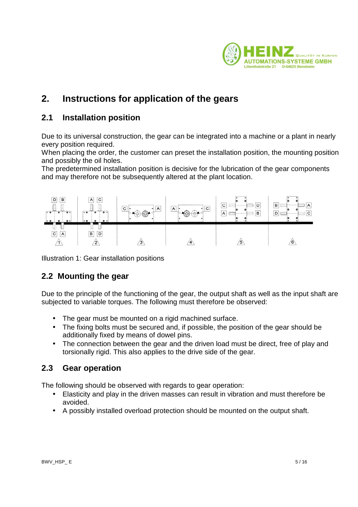

## **2. Instructions for application of the gears**

#### **2.1 Installation position**

Due to its universal construction, the gear can be integrated into a machine or a plant in nearly every position required.

When placing the order, the customer can preset the installation position, the mounting position and possibly the oil holes.

The predetermined installation position is decisive for the lubrication of the gear components and may therefore not be subsequently altered at the plant location.



Illustration 1: Gear installation positions

### **2.2 Mounting the gear**

Due to the principle of the functioning of the gear, the output shaft as well as the input shaft are subjected to variable torques. The following must therefore be observed:

- The gear must be mounted on a rigid machined surface.
- The fixing bolts must be secured and, if possible, the position of the gear should be additionally fixed by means of dowel pins.
- The connection between the gear and the driven load must be direct, free of play and torsionally rigid. This also applies to the drive side of the gear.

#### **2.3 Gear operation**

The following should be observed with regards to gear operation:

- Elasticity and play in the driven masses can result in vibration and must therefore be avoided.
- A possibly installed overload protection should be mounted on the output shaft.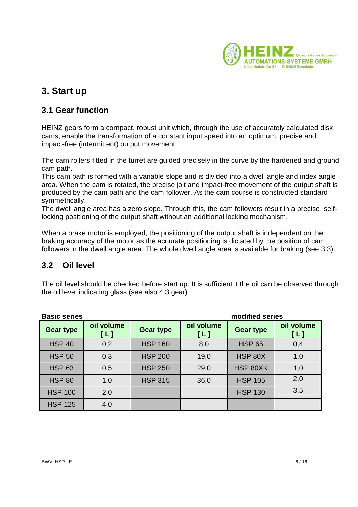

## **3. Start up**

#### **3.1 Gear function**

HEINZ gears form a compact, robust unit which, through the use of accurately calculated disk cams, enable the transformation of a constant input speed into an optimum, precise and impact-free (intermittent) output movement.

The cam rollers fitted in the turret are guided precisely in the curve by the hardened and ground cam path.

This cam path is formed with a variable slope and is divided into a dwell angle and index angle area. When the cam is rotated, the precise jolt and impact-free movement of the output shaft is produced by the cam path and the cam follower. As the cam course is constructed standard symmetrically.

The dwell angle area has a zero slope. Through this, the cam followers result in a precise, selflocking positioning of the output shaft without an additional locking mechanism.

When a brake motor is employed, the positioning of the output shaft is independent on the braking accuracy of the motor as the accurate positioning is dictated by the position of cam followers in the dwell angle area. The whole dwell angle area is available for braking (see 3.3).

#### **3.2 Oil level**

The oil level should be checked before start up. It is sufficient it the oil can be observed through the oil level indicating glass (see also 4.3 gear)

| <b>Basic series</b> |                   |                  |                                   | modified series  |                              |
|---------------------|-------------------|------------------|-----------------------------------|------------------|------------------------------|
| <b>Gear type</b>    | oil volume<br>[L] | <b>Gear type</b> | oil volume<br>$\lbrack L \rbrack$ | <b>Gear type</b> | oil volume<br>$\mathsf{[L]}$ |
| <b>HSP 40</b>       | 0,2               | <b>HSP 160</b>   | 8,0                               | <b>HSP 65</b>    | 0,4                          |
| <b>HSP 50</b>       | 0,3               | <b>HSP 200</b>   | 19,0                              | <b>HSP 80X</b>   | 1,0                          |
| <b>HSP 63</b>       | 0,5               | <b>HSP 250</b>   | 29,0                              | HSP 80XK         | 1,0                          |
| <b>HSP 80</b>       | 1,0               | <b>HSP 315</b>   | 36,0                              | <b>HSP 105</b>   | 2,0                          |
| <b>HSP 100</b>      | 2,0               |                  |                                   | <b>HSP 130</b>   | 3,5                          |
| <b>HSP 125</b>      | 4,0               |                  |                                   |                  |                              |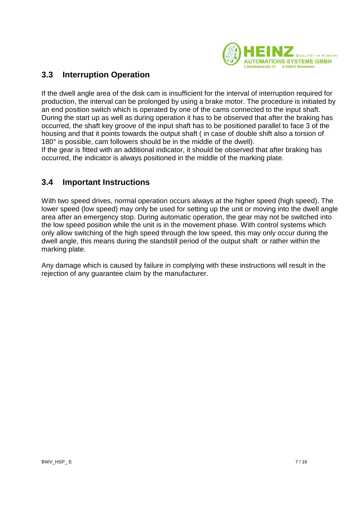

#### **3.3 Interruption Operation**

If the dwell angle area of the disk cam is insufficient for the interval of interruption required for production, the interval can be prolonged by using a brake motor. The procedure is initiated by an end position switch which is operated by one of the cams connected to the input shaft. During the start up as well as during operation it has to be observed that after the braking has occurred, the shaft key groove of the input shaft has to be positioned parallel to face 3 of the housing and that it points towards the output shaft ( in case of double shift also a torsion of 180° is possible, cam followers should be in the middle of the dwell).

If the gear is fitted with an additional indicator, it should be observed that after braking has occurred, the indicator is always positioned in the middle of the marking plate.

#### **3.4 Important Instructions**

With two speed drives, normal operation occurs always at the higher speed (high speed). The lower speed (low speed) may only be used for setting up the unit or moving into the dwell angle area after an emergency stop. During automatic operation, the gear may not be switched into the low speed position while the unit is in the movement phase. With control systems which only allow switching of the high speed through the low speed, this may only occur during the dwell angle, this means during the standstill period of the output shaft or rather within the marking plate.

Any damage which is caused by failure in complying with these instructions will result in the rejection of any quarantee claim by the manufacturer.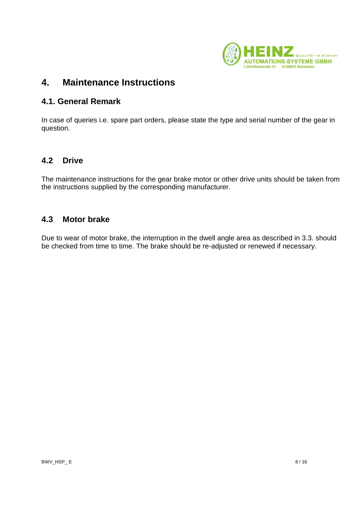

## **4. Maintenance Instructions**

#### **4.1. General Remark**

In case of queries i.e. spare part orders, please state the type and serial number of the gear in question.

#### **4.2 Drive**

The maintenance instructions for the gear brake motor or other drive units should be taken from the instructions supplied by the corresponding manufacturer.

#### **4.3 Motor brake**

Due to wear of motor brake, the interruption in the dwell angle area as described in 3.3. should be checked from time to time. The brake should be re-adjusted or renewed if necessary.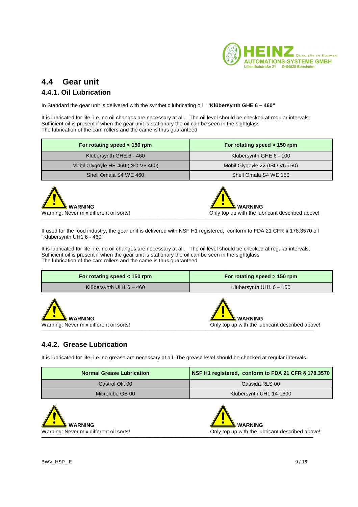

## **4.4 Gear unit**

#### **4.4.1. Oil Lubrication**

In Standard the gear unit is delivered with the synthetic lubricating oil **"Klübersynth GHE 6 – 460"**

It is lubricated for life, i.e. no oil changes are necessary at all. The oil level should be checked at regular intervals. Sufficient oil is present if when the gear unit is stationary the oil can be seen in the sightglass The lubrication of the cam rollers and the came is thus guaranteed

| For rotating speed < 150 rpm       | For rotating speed > 150 rpm   |
|------------------------------------|--------------------------------|
| Klübersynth GHE 6 - 460            | Klübersynth GHE 6 - 100        |
| Mobil Glygoyle HE 460 (ISO V6 460) | Mobil Glygoyle 22 (ISO V6 150) |
| Shell Omala S4 WE 460              | Shell Omala S4 WE 150          |





If used for the food industry, the gear unit is delivered with NSF H1 registered, conform to FDA 21 CFR § 178.3570 oil "Klübersynth UH1 6 - 460"

It is lubricated for life, i.e. no oil changes are necessary at all. The oil level should be checked at regular intervals. Sufficient oil is present if when the gear unit is stationary the oil can be seen in the sightglass The lubrication of the cam rollers and the came is thus guaranteed

| For rotating speed $<$ 150 rpm                            | For rotating speed > 150 rpm                                      |
|-----------------------------------------------------------|-------------------------------------------------------------------|
| Klübersynth UH1 $6 - 460$                                 | Klübersynth UH1 $6 - 150$                                         |
| <b>WARNING</b><br>Warning: Never mix different oil sorts! | <b>WARNING</b><br>Only top up with the lubricant described above! |

#### **4.4.2. Grease Lubrication**

It is lubricated for life, i.e. no grease are necessary at all. The grease level should be checked at regular intervals.

─────────────────────────────────────────────────────────────────────────

| <b>Normal Grease Lubrication</b> | NSF H1 registered, conform to FDA 21 CFR § 178.3570 |
|----------------------------------|-----------------------------------------------------|
| Castrol Olit 00                  | Cassida RLS 00                                      |
| Microlube GB 00                  | Klübersynth UH1 14-1600                             |

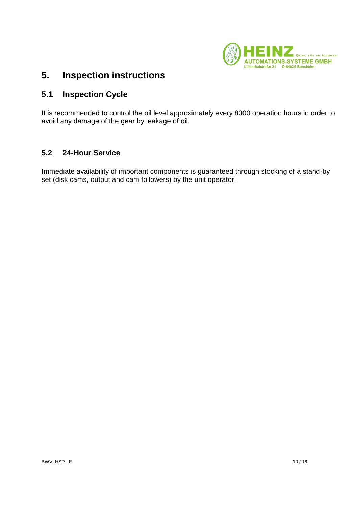

#### $5.$ **5. Inspection instructions**

#### **5.1 Inspection Cycle**

It is recommended to control the oil level approximately every 8000 operation hours in order to avoid any damage of the gear by leakage of oil.

#### **5.2 24-Hour Service**

Immediate availability of important components is guaranteed through stocking of a stand-by set (disk cams, output and cam followers) by the unit operator.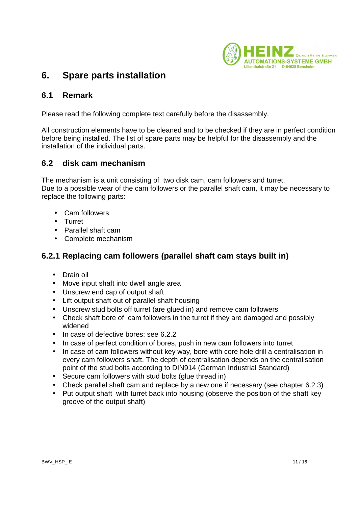

## **6. Spare parts installation**

#### **6.1 Remark**

Please read the following complete text carefully before the disassembly.

All construction elements have to be cleaned and to be checked if they are in perfect condition before being installed. The list of spare parts may be helpful for the disassembly and the installation of the individual parts.

#### **6.2 disk cam mechanism**

The mechanism is a unit consisting of two disk cam, cam followers and turret. Due to a possible wear of the cam followers or the parallel shaft cam, it may be necessary to replace the following parts:

- Cam followers
- Turret
- Parallel shaft cam
- Complete mechanism

### **6.2.1 Replacing cam followers (parallel shaft cam stays built in)**

- Drain oil
- Move input shaft into dwell angle area
- Unscrew end cap of output shaft
- Lift output shaft out of parallel shaft housing
- Unscrew stud bolts off turret (are glued in) and remove cam followers
- Check shaft bore of cam followers in the turret if they are damaged and possibly widened
- In case of defective bores: see 6.2.2
- In case of perfect condition of bores, push in new cam followers into turret
- In case of cam followers without key way, bore with core hole drill a centralisation in every cam followers shaft. The depth of centralisation depends on the centralisation point of the stud bolts according to DIN914 (German Industrial Standard)
- Secure cam followers with stud bolts (glue thread in)
- Check parallel shaft cam and replace by a new one if necessary (see chapter 6.2.3)
- Put output shaft with turret back into housing (observe the position of the shaft key groove of the output shaft)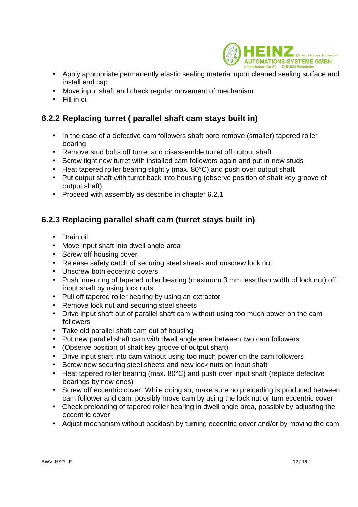

- Apply appropriate permanently elastic sealing material upon cleaned sealing surface and install end cap
- Move input shaft and check regular movement of mechanism
- Fill in oil

### **6.2.2 Replacing turret ( parallel shaft cam stays built in)**

- In the case of a defective cam followers shaft bore remove (smaller) tapered roller bearing
- Remove stud bolts off turret and disassemble turret off output shaft
- Screw tight new turret with installed cam followers again and put in new studs
- Heat tapered roller bearing slightly (max. 80°C) and push over output shaft
- Put output shaft with turret back into housing (observe position of shaft key groove of output shaft)
- Proceed with assembly as describe in chapter 6.2.1

#### **6.2.3 Replacing parallel shaft cam (turret stays built in)**

- Drain oil
- Move input shaft into dwell angle area
- Screw off housing cover
- Release safety catch of securing steel sheets and unscrew lock nut
- Unscrew both eccentric covers
- Push inner ring of tapered roller bearing (maximum 3 mm less than width of lock nut) off input shaft by using lock nuts
- Pull off tapered roller bearing by using an extractor
- Remove lock nut and securing steel sheets
- Drive input shaft out of parallel shaft cam without using too much power on the cam followers
- Take old parallel shaft cam out of housing
- Put new parallel shaft cam with dwell angle area between two cam followers
- (Observe position of shaft key groove of output shaft)
- Drive input shaft into cam without using too much power on the cam followers
- Screw new securing steel sheets and new lock nuts on input shaft
- Heat tapered roller bearing (max. 80°C) and push over input shaft (replace defective bearings by new ones)
- Screw off eccentric cover. While doing so, make sure no preloading is produced between cam follower and cam, possibly move cam by using the lock nut or turn eccentric cover
- Check preloading of tapered roller bearing in dwell angle area, possibly by adjusting the eccentric cover
- Adjust mechanism without backlash by turning eccentric cover and/or by moving the cam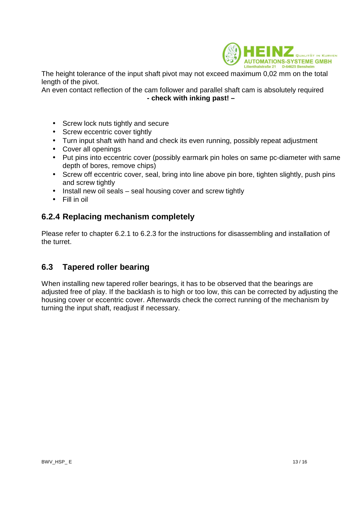

The height tolerance of the input shaft pivot may not exceed maximum 0,02 mm on the total length of the pivot.

An even contact reflection of the cam follower and parallel shaft cam is absolutely required **- check with inking past! –** 

- Screw lock nuts tightly and secure
- Screw eccentric cover tightly
- Turn input shaft with hand and check its even running, possibly repeat adjustment
- Cover all openings
- Put pins into eccentric cover (possibly earmark pin holes on same pc-diameter with same depth of bores, remove chips)
- Screw off eccentric cover, seal, bring into line above pin bore, tighten slightly, push pins and screw tightly
- Install new oil seals seal housing cover and screw tightly
- Fill in oil

#### **6.2.4 Replacing mechanism completely**

Please refer to chapter 6.2.1 to 6.2.3 for the instructions for disassembling and installation of the turret.

### **6.3 Tapered roller bearing**

When installing new tapered roller bearings, it has to be observed that the bearings are adjusted free of play. If the backlash is to high or too low, this can be corrected by adjusting the housing cover or eccentric cover. Afterwards check the correct running of the mechanism by turning the input shaft, readjust if necessary.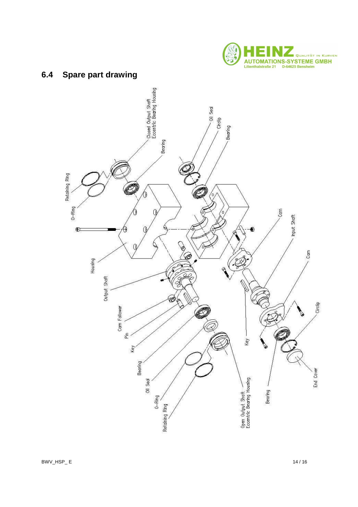

#### $6.4$ **Spare part drawing**

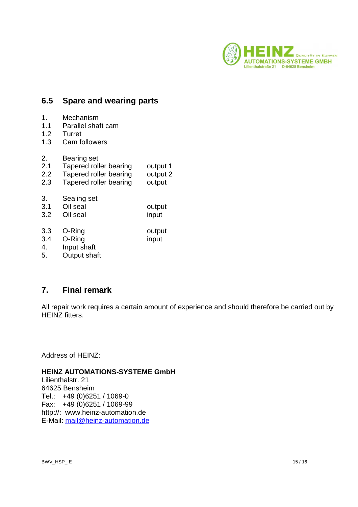

#### **6.5 Spare and wearing parts**

- 1. Mechanism
- 1.1 Parallel shaft cam
- 1.2 Turret
- 1.3 Cam followers
- 2. Bearing set
- 2.1 Tapered roller bearing output 1
- 2.2 Tapered roller bearing output 2<br>2.3 Tapered roller bearing output
- Tapered roller bearing output
- 3. Sealing set
- 3.1 Oil seal output
- 3.2 Oil seal input
- 3.3 O-Ring output 3.4 O-Ring input
- 4. Input shaft
- 5. Output shaft

#### **7. Final remark**

All repair work requires a certain amount of experience and should therefore be carried out by HFIN<sub>Z</sub> fitters.

Address of HEINZ:

#### **HEINZ AUTOMATIONS-SYSTEME GmbH**

Lilienthalstr. 21 64625 Bensheim Tel.: +49 (0)6251 / 1069-0 Fax: +49 (0)6251 / 1069-99 http://: www.heinz-automation.de E-Mail: mail@heinz-automation.de